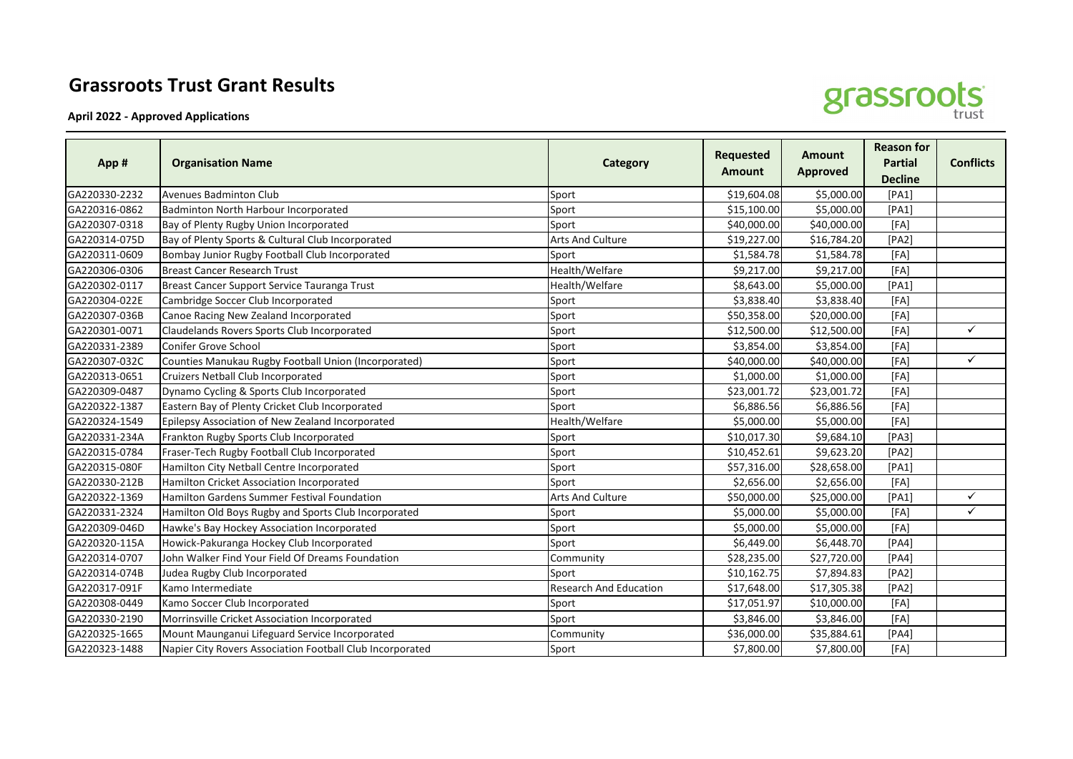## **Grassroots Trust Grant Results**

**April 2022 - Approved Applications**

| App #         | <b>Organisation Name</b>                             | <b>Category</b>               | <b>Requested</b><br><b>Amount</b> | <b>Amount</b><br><b>Approved</b> | <b>Reason for</b><br><b>Partial</b><br><b>Decline</b> | <b>Conflicts</b> |
|---------------|------------------------------------------------------|-------------------------------|-----------------------------------|----------------------------------|-------------------------------------------------------|------------------|
| GA220330-2232 | Avenues Badminton Club                               | Sport                         | \$19,604.08                       | \$5,000.00                       | [PA1]                                                 |                  |
| GA220316-0862 | Badminton North Harbour Incorporated                 | Sport                         | \$15,100.00                       | \$5,000.00                       | [PA1]                                                 |                  |
| GA220307-0318 | Bay of Plenty Rugby Union Incorporated               | Sport                         | \$40,000.00                       | \$40,000.00                      | [FA]                                                  |                  |
| GA220314-075D | Bay of Plenty Sports & Cultural Club Incorporated    | Arts And Culture              | \$19,227.00                       | \$16,784.20                      | [PA2]                                                 |                  |
| GA220311-0609 | Bombay Junior Rugby Football Club Incorporated       | Sport                         | \$1,584.78                        | \$1,584.78                       | [FA]                                                  |                  |
| GA220306-0306 | <b>Breast Cancer Research Trust</b>                  | Health/Welfare                | \$9,217.00                        | \$9,217.00                       | [FA]                                                  |                  |
| GA220302-0117 | Breast Cancer Support Service Tauranga Trust         | Health/Welfare                | \$8,643.00                        | \$5,000.00                       | [PA1]                                                 |                  |
| GA220304-022E | Cambridge Soccer Club Incorporated                   | Sport                         | \$3,838.40                        | \$3,838.40                       | [FA]                                                  |                  |
| GA220307-036B | Canoe Racing New Zealand Incorporated                | Sport                         | \$50,358.00                       | \$20,000.00                      | [FA]                                                  |                  |
| GA220301-0071 | Claudelands Rovers Sports Club Incorporated          | Sport                         | \$12,500.00                       | \$12,500.00                      | [FA]                                                  | $\checkmark$     |
| GA220331-2389 | Conifer Grove School                                 | Sport                         | \$3,854.00                        | \$3,854.00                       | [FA]                                                  |                  |
| GA220307-032C | Counties Manukau Rugby Football Union (Incorporated) | Sport                         | \$40,000.00                       | \$40,000.00                      | [FA]                                                  | $\checkmark$     |
| GA220313-0651 | Cruizers Netball Club Incorporated                   | Sport                         | \$1,000.00                        | \$1,000.00                       | [FA]                                                  |                  |
| GA220309-0487 | Dynamo Cycling & Sports Club Incorporated            | Sport                         | \$23,001.72                       | \$23,001.72                      | [FA]                                                  |                  |
| GA220322-1387 | Eastern Bay of Plenty Cricket Club Incorporated      | Sport                         | \$6,886.56                        | \$6,886.56                       | [FA]                                                  |                  |
| GA220324-1549 | Epilepsy Association of New Zealand Incorporated     | Health/Welfare                | \$5,000.00                        | \$5,000.00                       | [FA]                                                  |                  |
| GA220331-234A | Frankton Rugby Sports Club Incorporated              | Sport                         | \$10,017.30                       | \$9,684.10                       | [PA3]                                                 |                  |
| GA220315-0784 | Fraser-Tech Rugby Football Club Incorporated         | Sport                         | \$10,452.61                       | \$9,623.20                       | [PA2]                                                 |                  |
| GA220315-080F | Hamilton City Netball Centre Incorporated            | Sport                         | \$57,316.00                       | \$28,658.00                      | [PA1]                                                 |                  |
| GA220330-212B | Hamilton Cricket Association Incorporated            | Sport                         | \$2,656.00                        | \$2,656.00                       | [FA]                                                  |                  |
| GA220322-1369 | Hamilton Gardens Summer Festival Foundation          | Arts And Culture              | \$50,000.00                       | \$25,000.00                      | [PA1]                                                 | ✓                |
| GA220331-2324 | Hamilton Old Boys Rugby and Sports Club Incorporated | Sport                         | \$5,000.00                        | \$5,000.00                       | [FA]                                                  | $\checkmark$     |
| GA220309-046D | Hawke's Bay Hockey Association Incorporated          | Sport                         | \$5,000.00                        | \$5,000.00                       | [FA]                                                  |                  |
| GA220320-115A | Howick-Pakuranga Hockey Club Incorporated            | Sport                         | \$6,449.00                        | \$6,448.70                       | [PA4]                                                 |                  |
| GA220314-0707 | John Walker Find Your Field Of Dreams Foundation     | Community                     | \$28,235.00                       | \$27,720.00                      | [PA4]                                                 |                  |
| GA220314-074B | Judea Rugby Club Incorporated                        | Sport                         | \$10,162.75                       | \$7,894.83                       | [PA2]                                                 |                  |
| GA220317-091F | Kamo Intermediate                                    | <b>Research And Education</b> | \$17,648.00                       | \$17,305.38                      | [PA2]                                                 |                  |
| GA220308-0449 | Kamo Soccer Club Incorporated                        | Sport                         | \$17,051.97                       | \$10,000.00                      | [FA]                                                  |                  |
| GA220330-2190 | Morrinsville Cricket Association Incorporated        | Sport                         | \$3,846.00                        | \$3,846.00                       | [FA]                                                  |                  |
| GA220325-1665 | Mount Maunganui Lifeguard Service Incorporated       | Community                     | \$36,000.00                       | \$35,884.61                      | [PA4]                                                 |                  |

GA220323-1488 Napier City Rovers Association Football Club Incorporated Sport Sport 57,800.00 \$7,800.00 [FA]

grassroots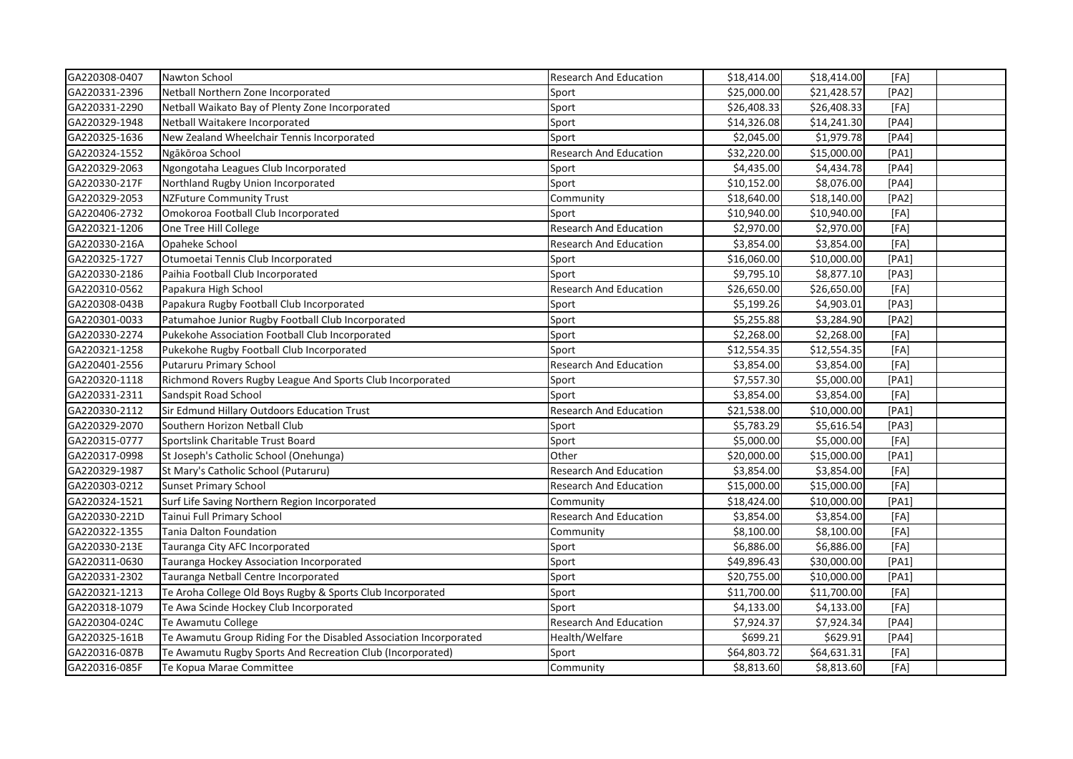| GA220308-0407 | Nawton School                                                     | <b>Research And Education</b> | \$18,414.00 | \$18,414.00 | [FA]  |  |
|---------------|-------------------------------------------------------------------|-------------------------------|-------------|-------------|-------|--|
| GA220331-2396 | Netball Northern Zone Incorporated                                | Sport                         | \$25,000.00 | \$21,428.57 | [PA2] |  |
| GA220331-2290 | Netball Waikato Bay of Plenty Zone Incorporated                   | Sport                         | \$26,408.33 | \$26,408.33 | [FA]  |  |
| GA220329-1948 | Netball Waitakere Incorporated                                    | Sport                         | \$14,326.08 | \$14,241.30 | [PA4] |  |
| GA220325-1636 | New Zealand Wheelchair Tennis Incorporated                        | Sport                         | \$2,045.00  | \$1,979.78  | [PA4] |  |
| GA220324-1552 | Ngākōroa School                                                   | <b>Research And Education</b> | \$32,220.00 | \$15,000.00 | [PA1] |  |
| GA220329-2063 | Ngongotaha Leagues Club Incorporated                              | Sport                         | \$4,435.00  | \$4,434.78  | [PA4] |  |
| GA220330-217F | Northland Rugby Union Incorporated                                | Sport                         | \$10,152.00 | \$8,076.00  | [PA4] |  |
| GA220329-2053 | <b>NZFuture Community Trust</b>                                   | Community                     | \$18,640.00 | \$18,140.00 | [PA2] |  |
| GA220406-2732 | Omokoroa Football Club Incorporated                               | Sport                         | \$10,940.00 | \$10,940.00 | [FA]  |  |
| GA220321-1206 | One Tree Hill College                                             | <b>Research And Education</b> | \$2,970.00  | \$2,970.00  | [FA]  |  |
| GA220330-216A | Opaheke School                                                    | <b>Research And Education</b> | \$3,854.00  | \$3,854.00  | [FA]  |  |
| GA220325-1727 | Otumoetai Tennis Club Incorporated                                | Sport                         | \$16,060.00 | \$10,000.00 | [PA1] |  |
| GA220330-2186 | Paihia Football Club Incorporated                                 | Sport                         | \$9,795.10  | \$8,877.10  | [PA3] |  |
| GA220310-0562 | Papakura High School                                              | <b>Research And Education</b> | \$26,650.00 | \$26,650.00 | [FA]  |  |
| GA220308-043B | Papakura Rugby Football Club Incorporated                         | Sport                         | \$5,199.26  | \$4,903.01  | [PA3] |  |
| GA220301-0033 | Patumahoe Junior Rugby Football Club Incorporated                 | Sport                         | \$5,255.88  | \$3,284.90  | [PA2] |  |
| GA220330-2274 | Pukekohe Association Football Club Incorporated                   | Sport                         | \$2,268.00  | \$2,268.00  | [FA]  |  |
| GA220321-1258 | Pukekohe Rugby Football Club Incorporated                         | Sport                         | \$12,554.35 | \$12,554.35 | [FA]  |  |
| GA220401-2556 | Putaruru Primary School                                           | <b>Research And Education</b> | \$3,854.00  | \$3,854.00  | [FA]  |  |
| GA220320-1118 | Richmond Rovers Rugby League And Sports Club Incorporated         | Sport                         | \$7,557.30  | \$5,000.00  | [PA1] |  |
| GA220331-2311 | Sandspit Road School                                              | Sport                         | \$3,854.00  | \$3,854.00  | [FA]  |  |
| GA220330-2112 | Sir Edmund Hillary Outdoors Education Trust                       | <b>Research And Education</b> | \$21,538.00 | \$10,000.00 | [PA1] |  |
| GA220329-2070 | Southern Horizon Netball Club                                     | Sport                         | \$5,783.29  | \$5,616.54  | [PA3] |  |
| GA220315-0777 | Sportslink Charitable Trust Board                                 | Sport                         | \$5,000.00  | \$5,000.00  | [FA]  |  |
| GA220317-0998 | St Joseph's Catholic School (Onehunga)                            | Other                         | \$20,000.00 | \$15,000.00 | [PA1] |  |
| GA220329-1987 | St Mary's Catholic School (Putaruru)                              | <b>Research And Education</b> | \$3,854.00  | \$3,854.00  | [FA]  |  |
| GA220303-0212 | <b>Sunset Primary School</b>                                      | Research And Education        | \$15,000.00 | \$15,000.00 | [FA]  |  |
| GA220324-1521 | Surf Life Saving Northern Region Incorporated                     | Community                     | \$18,424.00 | \$10,000.00 | [PA1] |  |
| GA220330-221D | Tainui Full Primary School                                        | <b>Research And Education</b> | \$3,854.00  | \$3,854.00  | [FA]  |  |
| GA220322-1355 | Tania Dalton Foundation                                           | Community                     | \$8,100.00  | \$8,100.00  | [FA]  |  |
| GA220330-213E | Tauranga City AFC Incorporated                                    | Sport                         | \$6,886.00  | \$6,886.00  | [FA]  |  |
| GA220311-0630 | Tauranga Hockey Association Incorporated                          | Sport                         | \$49,896.43 | \$30,000.00 | [PA1] |  |
| GA220331-2302 | Tauranga Netball Centre Incorporated                              | Sport                         | \$20,755.00 | \$10,000.00 | [PA1] |  |
| GA220321-1213 | Te Aroha College Old Boys Rugby & Sports Club Incorporated        | Sport                         | \$11,700.00 | \$11,700.00 | [FA]  |  |
| GA220318-1079 | Te Awa Scinde Hockey Club Incorporated                            | Sport                         | \$4,133.00  | \$4,133.00  | [FA]  |  |
| GA220304-024C | Te Awamutu College                                                | <b>Research And Education</b> | \$7,924.37  | \$7,924.34  | [PA4] |  |
| GA220325-161B | Te Awamutu Group Riding For the Disabled Association Incorporated | Health/Welfare                | \$699.21    | \$629.91    | [PA4] |  |
| GA220316-087B | Te Awamutu Rugby Sports And Recreation Club (Incorporated)        | Sport                         | \$64,803.72 | \$64,631.31 | [FA]  |  |
| GA220316-085F | Te Kopua Marae Committee                                          | Community                     | \$8,813.60  | \$8,813.60  | [FA]  |  |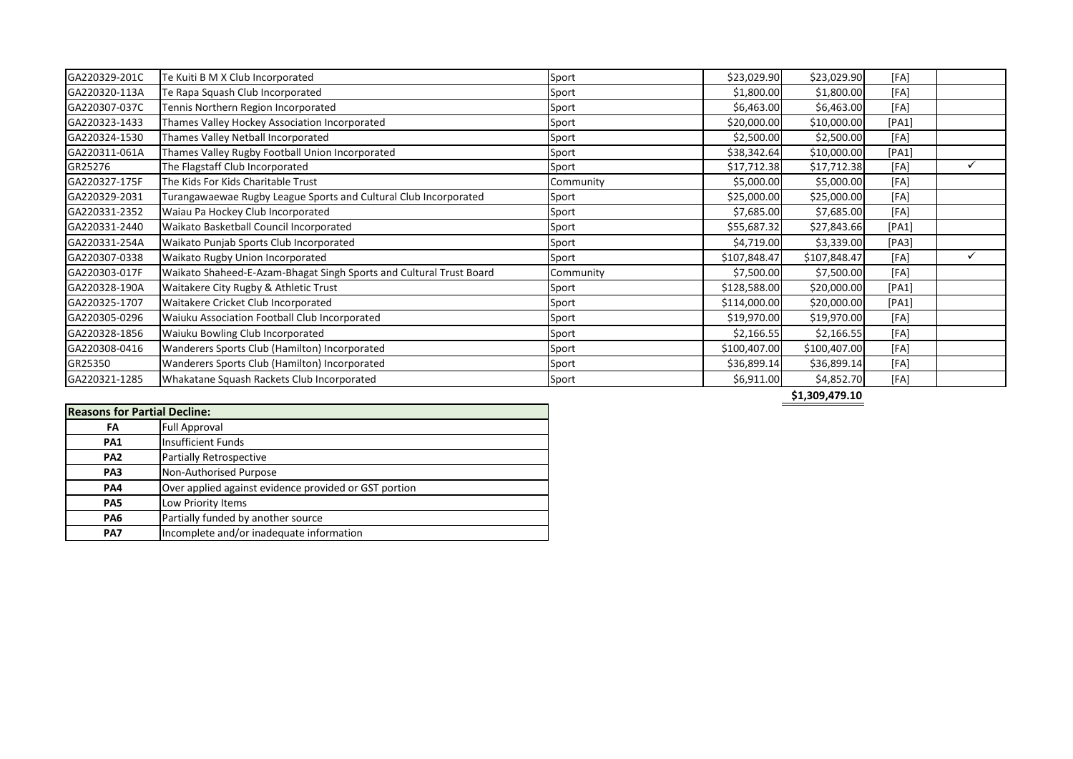| GA220329-201C | Te Kuiti B M X Club Incorporated                                    | Sport     | \$23,029.90  | \$23,029.90  | [FA]  |  |
|---------------|---------------------------------------------------------------------|-----------|--------------|--------------|-------|--|
| GA220320-113A | Te Rapa Squash Club Incorporated                                    | Sport     | \$1,800.00   | \$1,800.00   | [FA]  |  |
| GA220307-037C | Tennis Northern Region Incorporated                                 | Sport     | \$6,463.00   | \$6,463.00   | [FA]  |  |
| GA220323-1433 | Thames Valley Hockey Association Incorporated                       | Sport     | \$20,000.00  | \$10,000.00  | [PA1] |  |
| GA220324-1530 | Thames Valley Netball Incorporated                                  | Sport     | \$2,500.00   | \$2,500.00   | [FA]  |  |
| GA220311-061A | Thames Valley Rugby Football Union Incorporated                     | Sport     | \$38,342.64  | \$10,000.00  | [PA1] |  |
| GR25276       | The Flagstaff Club Incorporated                                     | Sport     | \$17,712.38  | \$17,712.38  | [FA]  |  |
| GA220327-175F | The Kids For Kids Charitable Trust                                  | Community | \$5,000.00   | \$5,000.00   | [FA]  |  |
| GA220329-2031 | Turangawaewae Rugby League Sports and Cultural Club Incorporated    | Sport     | \$25,000.00  | \$25,000.00  | [FA]  |  |
| GA220331-2352 | Waiau Pa Hockey Club Incorporated                                   | Sport     | \$7,685.00   | \$7,685.00   | [FA]  |  |
| GA220331-2440 | Waikato Basketball Council Incorporated                             | Sport     | \$55,687.32  | \$27,843.66  | [PA1] |  |
| GA220331-254A | Waikato Punjab Sports Club Incorporated                             | Sport     | \$4,719.00   | \$3,339.00   | [PA3] |  |
| GA220307-0338 | Waikato Rugby Union Incorporated                                    | Sport     | \$107,848.47 | \$107,848.47 | [FA]  |  |
| GA220303-017F | Waikato Shaheed-E-Azam-Bhagat Singh Sports and Cultural Trust Board | Community | \$7,500.00   | \$7,500.00   | [FA]  |  |
| GA220328-190A | Waitakere City Rugby & Athletic Trust                               | Sport     | \$128,588.00 | \$20,000.00  | [PA1] |  |
| GA220325-1707 | Waitakere Cricket Club Incorporated                                 | Sport     | \$114,000.00 | \$20,000.00  | [PA1] |  |
| GA220305-0296 | Waiuku Association Football Club Incorporated                       | Sport     | \$19,970.00  | \$19,970.00  | [FA]  |  |
| GA220328-1856 | Waiuku Bowling Club Incorporated                                    | Sport     | \$2,166.55   | \$2,166.55   | [FA]  |  |
| GA220308-0416 | Wanderers Sports Club (Hamilton) Incorporated                       | Sport     | \$100,407.00 | \$100,407.00 | [FA]  |  |
| GR25350       | Wanderers Sports Club (Hamilton) Incorporated                       | Sport     | \$36,899.14  | \$36,899.14  | [FA]  |  |
| GA220321-1285 | Whakatane Squash Rackets Club Incorporated                          | Sport     | \$6,911.00   | \$4,852.70   | [FA]  |  |

**\$1,309,479.10**

| <b>Reasons for Partial Decline:</b> |                                                       |
|-------------------------------------|-------------------------------------------------------|
| FA                                  | <b>Full Approval</b>                                  |
| <b>PA1</b>                          | <b>Insufficient Funds</b>                             |
| PA <sub>2</sub>                     | <b>Partially Retrospective</b>                        |
| PA <sub>3</sub>                     | Non-Authorised Purpose                                |
| <b>PA4</b>                          | Over applied against evidence provided or GST portion |
| PA <sub>5</sub>                     | Low Priority Items                                    |
| PA <sub>6</sub>                     | Partially funded by another source                    |
| PA7                                 | Incomplete and/or inadequate information              |
|                                     |                                                       |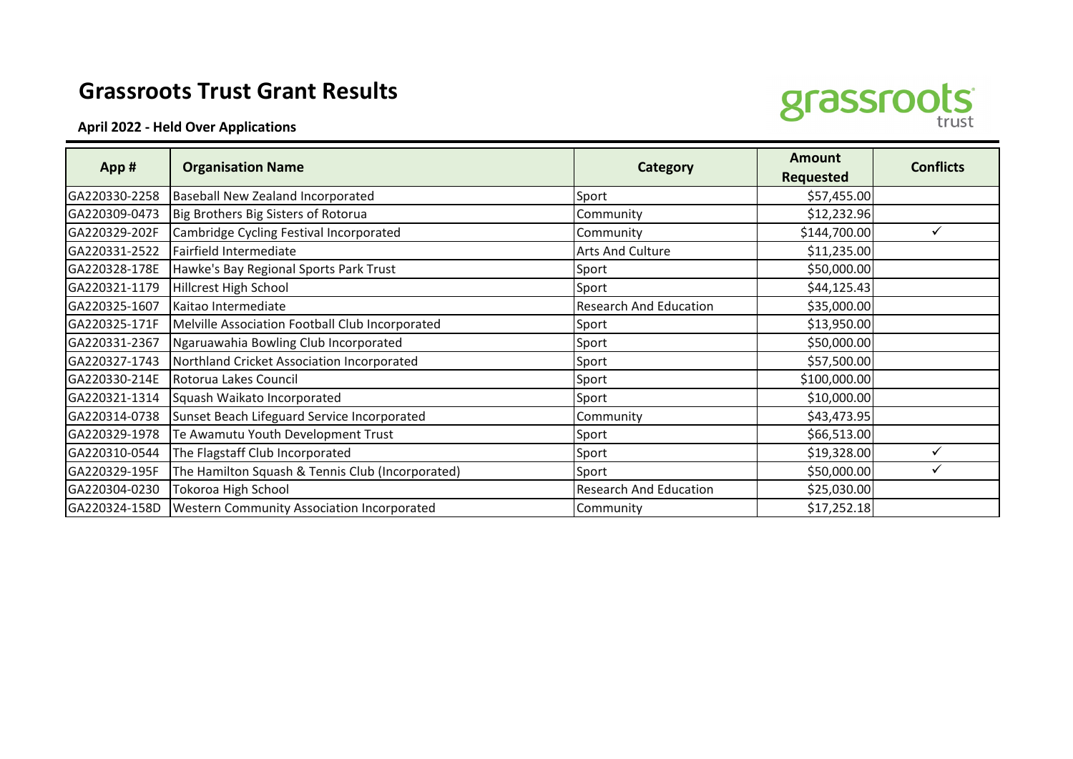## **Grassroots Trust Grant Results**





|               | <b>Organisation Name</b>                          | <b>Category</b>               | <b>Amount</b>    | <b>Conflicts</b> |
|---------------|---------------------------------------------------|-------------------------------|------------------|------------------|
| App#          |                                                   |                               | <b>Requested</b> |                  |
| GA220330-2258 | Baseball New Zealand Incorporated                 | Sport                         | \$57,455.00      |                  |
| GA220309-0473 | Big Brothers Big Sisters of Rotorua               | Community                     | \$12,232.96      |                  |
| GA220329-202F | Cambridge Cycling Festival Incorporated           | Community                     | \$144,700.00     | ✓                |
| GA220331-2522 | Fairfield Intermediate                            | Arts And Culture              | \$11,235.00      |                  |
| GA220328-178E | Hawke's Bay Regional Sports Park Trust            | Sport                         | \$50,000.00      |                  |
| GA220321-1179 | Hillcrest High School                             | Sport                         | \$44,125.43      |                  |
| GA220325-1607 | Kaitao Intermediate                               | Research And Education        | \$35,000.00      |                  |
| GA220325-171F | Melville Association Football Club Incorporated   | Sport                         | \$13,950.00      |                  |
| GA220331-2367 | Ngaruawahia Bowling Club Incorporated             | Sport                         | \$50,000.00      |                  |
| GA220327-1743 | Northland Cricket Association Incorporated        | Sport                         | \$57,500.00      |                  |
| GA220330-214E | Rotorua Lakes Council                             | Sport                         | \$100,000.00     |                  |
| GA220321-1314 | Squash Waikato Incorporated                       | Sport                         | \$10,000.00      |                  |
| GA220314-0738 | Sunset Beach Lifeguard Service Incorporated       | Community                     | \$43,473.95      |                  |
| GA220329-1978 | Te Awamutu Youth Development Trust                | Sport                         | \$66,513.00      |                  |
| GA220310-0544 | The Flagstaff Club Incorporated                   | Sport                         | \$19,328.00      | ✓                |
| GA220329-195F | The Hamilton Squash & Tennis Club (Incorporated)  | Sport                         | \$50,000.00      |                  |
| GA220304-0230 | Tokoroa High School                               | <b>Research And Education</b> | \$25,030.00      |                  |
| GA220324-158D | <b>Western Community Association Incorporated</b> | Community                     | \$17,252.18      |                  |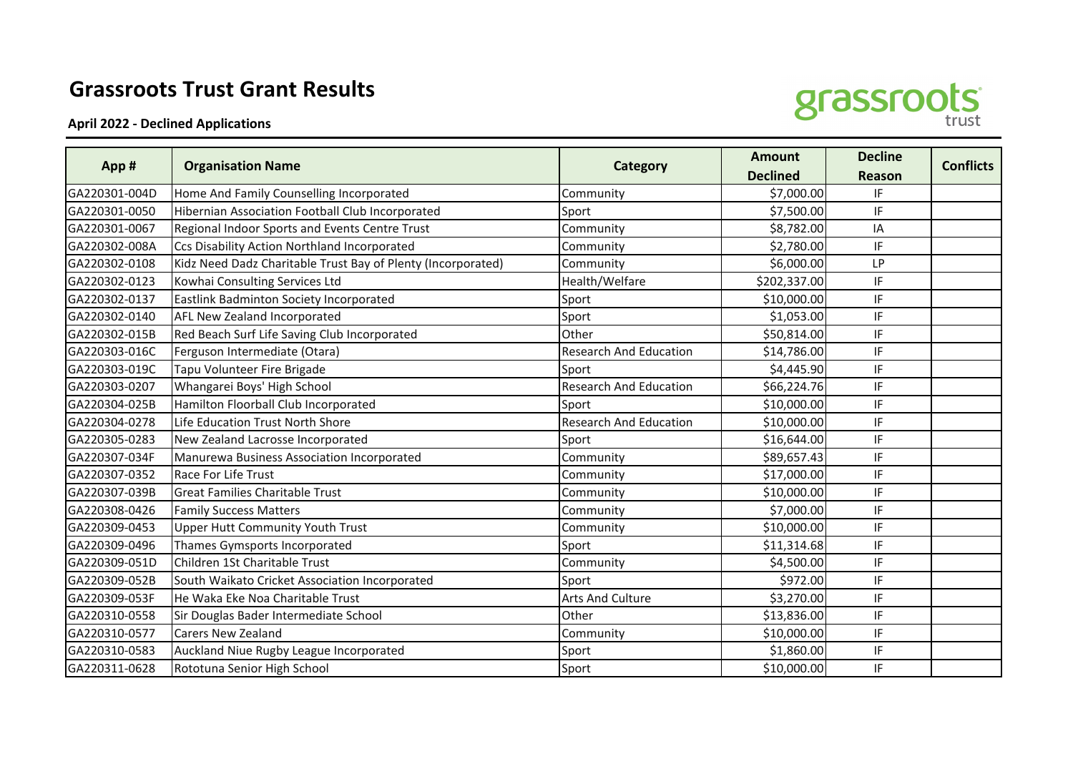## **Grassroots Trust Grant Results**

**April 2022 - Declined Applications**



| App#          | <b>Organisation Name</b>                                     | <b>Category</b>               | <b>Amount</b>   | <b>Decline</b> | <b>Conflicts</b> |
|---------------|--------------------------------------------------------------|-------------------------------|-----------------|----------------|------------------|
|               |                                                              |                               | <b>Declined</b> | <b>Reason</b>  |                  |
| GA220301-004D | Home And Family Counselling Incorporated                     | Community                     | \$7,000.00      | IF             |                  |
| GA220301-0050 | Hibernian Association Football Club Incorporated             | Sport                         | \$7,500.00      | IF             |                  |
| GA220301-0067 | Regional Indoor Sports and Events Centre Trust               | Community                     | \$8,782.00      | IA             |                  |
| GA220302-008A | Ccs Disability Action Northland Incorporated                 | Community                     | \$2,780.00      | IF             |                  |
| GA220302-0108 | Kidz Need Dadz Charitable Trust Bay of Plenty (Incorporated) | Community                     | \$6,000.00      | LP             |                  |
| GA220302-0123 | Kowhai Consulting Services Ltd                               | Health/Welfare                | \$202,337.00    | IF             |                  |
| GA220302-0137 | Eastlink Badminton Society Incorporated                      | Sport                         | \$10,000.00     | IF             |                  |
| GA220302-0140 | AFL New Zealand Incorporated                                 | Sport                         | \$1,053.00      | IF             |                  |
| GA220302-015B | Red Beach Surf Life Saving Club Incorporated                 | Other                         | \$50,814.00     | IF             |                  |
| GA220303-016C | Ferguson Intermediate (Otara)                                | <b>Research And Education</b> | \$14,786.00     | IF             |                  |
| GA220303-019C | Tapu Volunteer Fire Brigade                                  | Sport                         | \$4,445.90      | IF             |                  |
| GA220303-0207 | Whangarei Boys' High School                                  | <b>Research And Education</b> | \$66,224.76     | IF             |                  |
| GA220304-025B | Hamilton Floorball Club Incorporated                         | Sport                         | \$10,000.00     | IF             |                  |
| GA220304-0278 | Life Education Trust North Shore                             | <b>Research And Education</b> | \$10,000.00     | IF             |                  |
| GA220305-0283 | New Zealand Lacrosse Incorporated                            | Sport                         | \$16,644.00     | IF             |                  |
| GA220307-034F | Manurewa Business Association Incorporated                   | Community                     | \$89,657.43     | IF             |                  |
| GA220307-0352 | Race For Life Trust                                          | Community                     | \$17,000.00     | IF             |                  |
| GA220307-039B | <b>Great Families Charitable Trust</b>                       | Community                     | \$10,000.00     | IF             |                  |
| GA220308-0426 | <b>Family Success Matters</b>                                | Community                     | \$7,000.00      | IF             |                  |
| GA220309-0453 | <b>Upper Hutt Community Youth Trust</b>                      | Community                     | \$10,000.00     | IF             |                  |
| GA220309-0496 | Thames Gymsports Incorporated                                | Sport                         | \$11,314.68     | IF             |                  |
| GA220309-051D | Children 1St Charitable Trust                                | Community                     | \$4,500.00      | IF             |                  |
| GA220309-052B | South Waikato Cricket Association Incorporated               | Sport                         | \$972.00        | IF             |                  |
| GA220309-053F | He Waka Eke Noa Charitable Trust                             | <b>Arts And Culture</b>       | \$3,270.00      | IF             |                  |
| GA220310-0558 | Sir Douglas Bader Intermediate School                        | Other                         | \$13,836.00     | IF             |                  |
| GA220310-0577 | <b>Carers New Zealand</b>                                    | Community                     | \$10,000.00     | IF             |                  |
| GA220310-0583 | Auckland Niue Rugby League Incorporated                      | Sport                         | \$1,860.00      | IF             |                  |
| GA220311-0628 | Rototuna Senior High School                                  | Sport                         | \$10,000.00     | IF             |                  |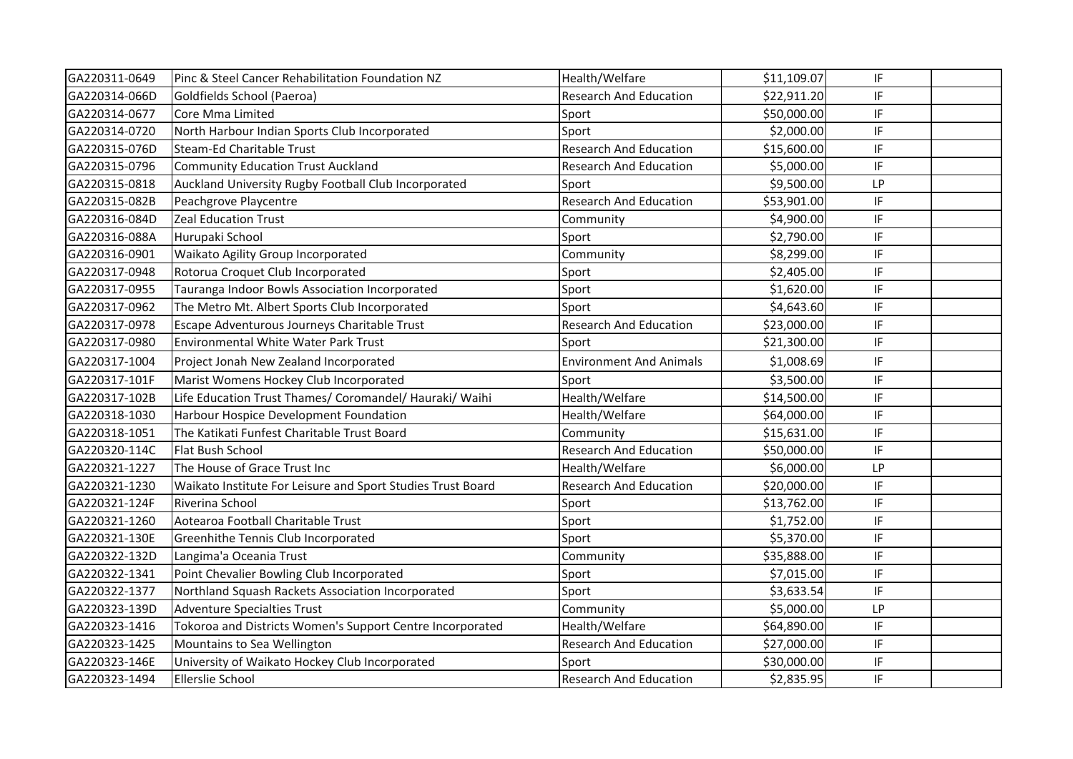| GA220311-0649 | Pinc & Steel Cancer Rehabilitation Foundation NZ            | Health/Welfare                 | \$11,109.07 | IF                         |  |
|---------------|-------------------------------------------------------------|--------------------------------|-------------|----------------------------|--|
| GA220314-066D | Goldfields School (Paeroa)                                  | <b>Research And Education</b>  | \$22,911.20 | IF                         |  |
| GA220314-0677 | Core Mma Limited                                            | Sport                          | \$50,000.00 | IF                         |  |
| GA220314-0720 | North Harbour Indian Sports Club Incorporated               | Sport                          | \$2,000.00  | IF                         |  |
| GA220315-076D | Steam-Ed Charitable Trust                                   | <b>Research And Education</b>  | \$15,600.00 | IF                         |  |
| GA220315-0796 | <b>Community Education Trust Auckland</b>                   | <b>Research And Education</b>  | \$5,000.00  | IF                         |  |
| GA220315-0818 | Auckland University Rugby Football Club Incorporated        | Sport                          | \$9,500.00  | <b>LP</b>                  |  |
| GA220315-082B | Peachgrove Playcentre                                       | <b>Research And Education</b>  | \$53,901.00 | IF                         |  |
| GA220316-084D | <b>Zeal Education Trust</b>                                 | Community                      | \$4,900.00  | IF                         |  |
| GA220316-088A | Hurupaki School                                             | Sport                          | \$2,790.00  | IF                         |  |
| GA220316-0901 | Waikato Agility Group Incorporated                          | Community                      | \$8,299.00  | IF                         |  |
| GA220317-0948 | Rotorua Croquet Club Incorporated                           | Sport                          | \$2,405.00  | IF                         |  |
| GA220317-0955 | Tauranga Indoor Bowls Association Incorporated              | Sport                          | \$1,620.00  | $\ensuremath{\mathsf{IF}}$ |  |
| GA220317-0962 | The Metro Mt. Albert Sports Club Incorporated               | Sport                          | \$4,643.60  | IF                         |  |
| GA220317-0978 | Escape Adventurous Journeys Charitable Trust                | <b>Research And Education</b>  | \$23,000.00 | IF                         |  |
| GA220317-0980 | <b>Environmental White Water Park Trust</b>                 | Sport                          | \$21,300.00 | IF                         |  |
| GA220317-1004 | Project Jonah New Zealand Incorporated                      | <b>Environment And Animals</b> | \$1,008.69  | IF                         |  |
| GA220317-101F | Marist Womens Hockey Club Incorporated                      | Sport                          | \$3,500.00  | IF                         |  |
| GA220317-102B | Life Education Trust Thames/ Coromandel/ Hauraki/ Waihi     | Health/Welfare                 | \$14,500.00 | IF                         |  |
| GA220318-1030 | Harbour Hospice Development Foundation                      | Health/Welfare                 | \$64,000.00 | IF                         |  |
| GA220318-1051 | The Katikati Funfest Charitable Trust Board                 | Community                      | \$15,631.00 | IF                         |  |
| GA220320-114C | Flat Bush School                                            | <b>Research And Education</b>  | \$50,000.00 | IF                         |  |
| GA220321-1227 | The House of Grace Trust Inc                                | Health/Welfare                 | \$6,000.00  | <b>LP</b>                  |  |
| GA220321-1230 | Waikato Institute For Leisure and Sport Studies Trust Board | <b>Research And Education</b>  | \$20,000.00 | IF                         |  |
| GA220321-124F | Riverina School                                             | Sport                          | \$13,762.00 | IF                         |  |
| GA220321-1260 | Aotearoa Football Charitable Trust                          | Sport                          | \$1,752.00  | IF                         |  |
| GA220321-130E | Greenhithe Tennis Club Incorporated                         | Sport                          | \$5,370.00  | IF                         |  |
| GA220322-132D | Langima'a Oceania Trust                                     | Community                      | \$35,888.00 | IF                         |  |
| GA220322-1341 | Point Chevalier Bowling Club Incorporated                   | Sport                          | \$7,015.00  | IF                         |  |
| GA220322-1377 | Northland Squash Rackets Association Incorporated           | Sport                          | \$3,633.54  | IF                         |  |
| GA220323-139D | <b>Adventure Specialties Trust</b>                          | Community                      | \$5,000.00  | LP                         |  |
| GA220323-1416 | Tokoroa and Districts Women's Support Centre Incorporated   | Health/Welfare                 | \$64,890.00 | IF                         |  |
| GA220323-1425 | Mountains to Sea Wellington                                 | <b>Research And Education</b>  | \$27,000.00 | IF                         |  |
| GA220323-146E | University of Waikato Hockey Club Incorporated              | Sport                          | \$30,000.00 | $\ensuremath{\mathsf{IF}}$ |  |
| GA220323-1494 | <b>Ellerslie School</b>                                     | <b>Research And Education</b>  | \$2,835.95  | IF                         |  |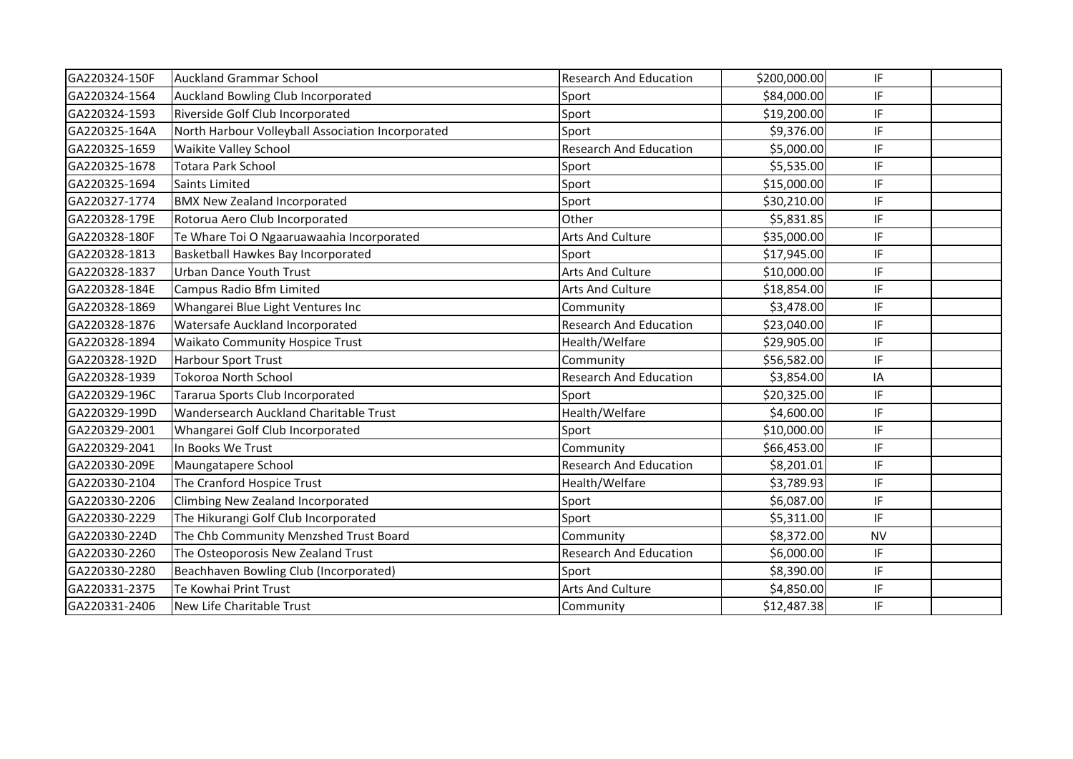| GA220324-150F | <b>Auckland Grammar School</b>                    | <b>Research And Education</b> | \$200,000.00 | IF        |  |
|---------------|---------------------------------------------------|-------------------------------|--------------|-----------|--|
| GA220324-1564 | Auckland Bowling Club Incorporated                | Sport                         | \$84,000.00  | IF        |  |
| GA220324-1593 | Riverside Golf Club Incorporated                  | Sport                         | \$19,200.00  | IF        |  |
| GA220325-164A | North Harbour Volleyball Association Incorporated | Sport                         | \$9,376.00   | IF        |  |
| GA220325-1659 | <b>Waikite Valley School</b>                      | <b>Research And Education</b> | \$5,000.00   | IF        |  |
| GA220325-1678 | Totara Park School                                | Sport                         | \$5,535.00   | IF        |  |
| GA220325-1694 | <b>Saints Limited</b>                             | Sport                         | \$15,000.00  | IF        |  |
| GA220327-1774 | <b>BMX New Zealand Incorporated</b>               | Sport                         | \$30,210.00  | IF        |  |
| GA220328-179E | Rotorua Aero Club Incorporated                    | Other                         | \$5,831.85   | IF        |  |
| GA220328-180F | Te Whare Toi O Ngaaruawaahia Incorporated         | <b>Arts And Culture</b>       | \$35,000.00  | IF        |  |
| GA220328-1813 | Basketball Hawkes Bay Incorporated                | Sport                         | \$17,945.00  | IF        |  |
| GA220328-1837 | Urban Dance Youth Trust                           | <b>Arts And Culture</b>       | \$10,000.00  | IF        |  |
| GA220328-184E | Campus Radio Bfm Limited                          | Arts And Culture              | \$18,854.00  | IF        |  |
| GA220328-1869 | Whangarei Blue Light Ventures Inc                 | Community                     | \$3,478.00   | IF        |  |
| GA220328-1876 | Watersafe Auckland Incorporated                   | <b>Research And Education</b> | \$23,040.00  | IF        |  |
| GA220328-1894 | <b>Waikato Community Hospice Trust</b>            | Health/Welfare                | \$29,905.00  | IF        |  |
| GA220328-192D | <b>Harbour Sport Trust</b>                        | Community                     | \$56,582.00  | IF        |  |
| GA220328-1939 | <b>Tokoroa North School</b>                       | <b>Research And Education</b> | \$3,854.00   | IA        |  |
| GA220329-196C | Tararua Sports Club Incorporated                  | Sport                         | \$20,325.00  | IF        |  |
| GA220329-199D | Wandersearch Auckland Charitable Trust            | Health/Welfare                | \$4,600.00   | IF        |  |
| GA220329-2001 | Whangarei Golf Club Incorporated                  | Sport                         | \$10,000.00  | IF        |  |
| GA220329-2041 | In Books We Trust                                 | Community                     | \$66,453.00  | IF        |  |
| GA220330-209E | Maungatapere School                               | <b>Research And Education</b> | \$8,201.01   | IF        |  |
| GA220330-2104 | The Cranford Hospice Trust                        | Health/Welfare                | \$3,789.93   | IF        |  |
| GA220330-2206 | Climbing New Zealand Incorporated                 | Sport                         | \$6,087.00   | IF        |  |
| GA220330-2229 | The Hikurangi Golf Club Incorporated              | Sport                         | \$5,311.00   | IF        |  |
| GA220330-224D | The Chb Community Menzshed Trust Board            | Community                     | \$8,372.00   | <b>NV</b> |  |
| GA220330-2260 | The Osteoporosis New Zealand Trust                | <b>Research And Education</b> | \$6,000.00   | IF        |  |
| GA220330-2280 | Beachhaven Bowling Club (Incorporated)            | Sport                         | \$8,390.00   | IF        |  |
| GA220331-2375 | Te Kowhai Print Trust                             | Arts And Culture              | \$4,850.00   | IF        |  |
| GA220331-2406 | New Life Charitable Trust                         | Community                     | \$12,487.38  | IF        |  |